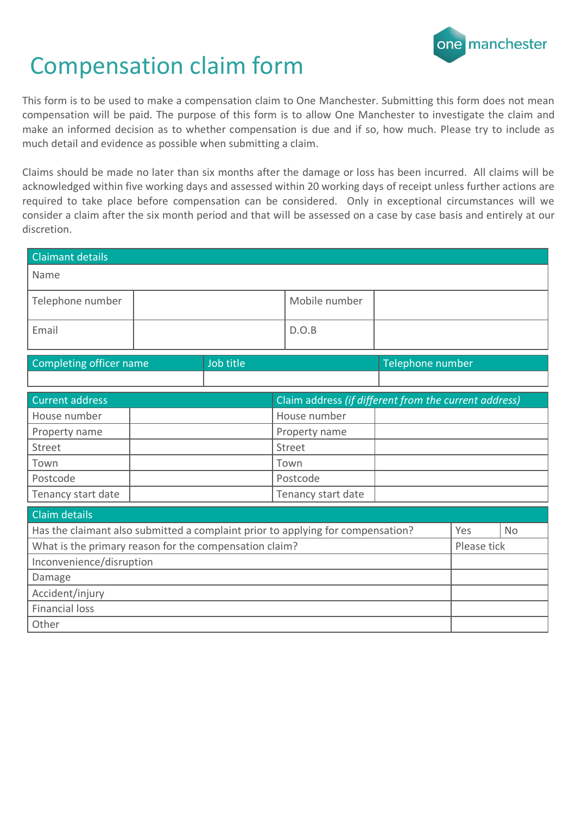

## Compensation claim form

This form is to be used to make a compensation claim to One Manchester. Submitting this form does not mean compensation will be paid. The purpose of this form is to allow One Manchester to investigate the claim and make an informed decision as to whether compensation is due and if so, how much. Please try to include as much detail and evidence as possible when submitting a claim.

Claims should be made no later than six months after the damage or loss has been incurred. All claims will be acknowledged within five working days and assessed within 20 working days of receipt unless further actions are required to take place before compensation can be considered. Only in exceptional circumstances will we consider a claim after the six month period and that will be assessed on a case by case basis and entirely at our discretion.

| <b>Claimant details</b>                                |  |           |                                                                                 |                  |             |           |
|--------------------------------------------------------|--|-----------|---------------------------------------------------------------------------------|------------------|-------------|-----------|
| Name                                                   |  |           |                                                                                 |                  |             |           |
| Telephone number                                       |  |           | Mobile number                                                                   |                  |             |           |
| Email                                                  |  |           | D.O.B                                                                           |                  |             |           |
| Completing officer name                                |  | Job title |                                                                                 | Telephone number |             |           |
|                                                        |  |           |                                                                                 |                  |             |           |
| <b>Current address</b>                                 |  |           | Claim address (if different from the current address)                           |                  |             |           |
| House number                                           |  |           | House number                                                                    |                  |             |           |
| Property name                                          |  |           | Property name                                                                   |                  |             |           |
| Street                                                 |  |           | Street                                                                          |                  |             |           |
| Town                                                   |  |           | Town                                                                            |                  |             |           |
| Postcode                                               |  |           | Postcode                                                                        |                  |             |           |
| Tenancy start date                                     |  |           | Tenancy start date                                                              |                  |             |           |
| Claim details                                          |  |           |                                                                                 |                  |             |           |
|                                                        |  |           | Has the claimant also submitted a complaint prior to applying for compensation? |                  | Yes         | <b>No</b> |
| What is the primary reason for the compensation claim? |  |           |                                                                                 |                  | Please tick |           |
| Inconvenience/disruption                               |  |           |                                                                                 |                  |             |           |
| Damage                                                 |  |           |                                                                                 |                  |             |           |
| Accident/injury                                        |  |           |                                                                                 |                  |             |           |
| <b>Financial loss</b>                                  |  |           |                                                                                 |                  |             |           |
| Other                                                  |  |           |                                                                                 |                  |             |           |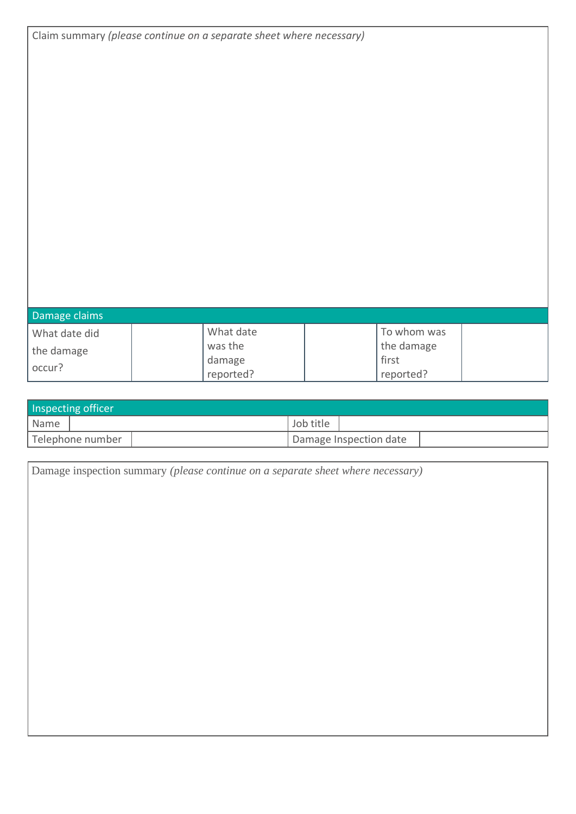|               | Claim summary (please continue on a separate sheet where necessary) |             |  |
|---------------|---------------------------------------------------------------------|-------------|--|
|               |                                                                     |             |  |
|               |                                                                     |             |  |
|               |                                                                     |             |  |
|               |                                                                     |             |  |
|               |                                                                     |             |  |
|               |                                                                     |             |  |
|               |                                                                     |             |  |
|               |                                                                     |             |  |
|               |                                                                     |             |  |
|               |                                                                     |             |  |
|               |                                                                     |             |  |
|               |                                                                     |             |  |
|               |                                                                     |             |  |
|               |                                                                     |             |  |
|               |                                                                     |             |  |
|               |                                                                     |             |  |
|               |                                                                     |             |  |
| Damage claims |                                                                     |             |  |
| What date did | What date                                                           | To whom was |  |
| the damage    | was the                                                             | the damage  |  |
| occur?        | damage                                                              | first       |  |
|               | reported?                                                           | reported?   |  |

| Inspecting officer |  |           |                        |  |  |
|--------------------|--|-----------|------------------------|--|--|
| Name               |  | Job title |                        |  |  |
| Telephone number   |  |           | Damage Inspection date |  |  |

| Damage inspection summary (please continue on a separate sheet where necessary) |
|---------------------------------------------------------------------------------|
|                                                                                 |
|                                                                                 |
|                                                                                 |
|                                                                                 |
|                                                                                 |
|                                                                                 |
|                                                                                 |
|                                                                                 |
|                                                                                 |
|                                                                                 |
|                                                                                 |
|                                                                                 |
|                                                                                 |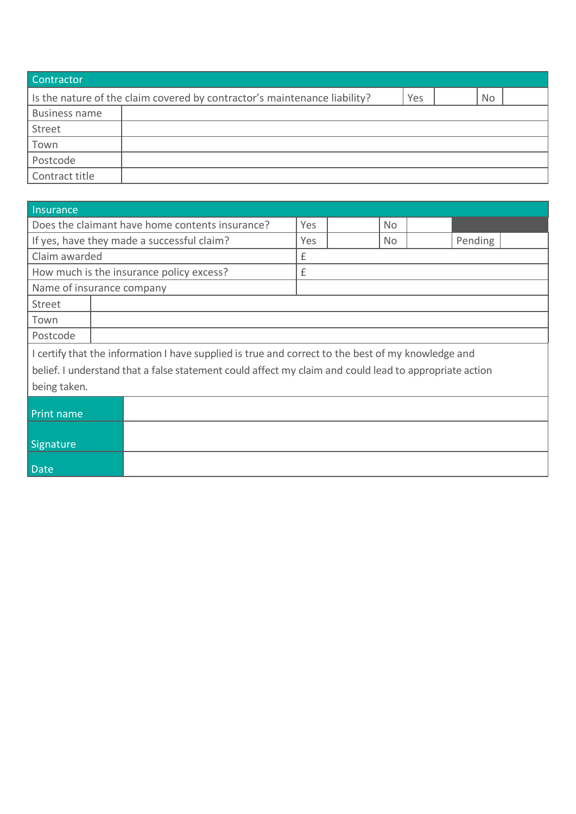| Contractor                                                                                    |  |  |  |  |  |  |  |
|-----------------------------------------------------------------------------------------------|--|--|--|--|--|--|--|
| Is the nature of the claim covered by contractor's maintenance liability?<br><b>No</b><br>Yes |  |  |  |  |  |  |  |
| <b>Business name</b>                                                                          |  |  |  |  |  |  |  |
| Street                                                                                        |  |  |  |  |  |  |  |
| Town                                                                                          |  |  |  |  |  |  |  |
| Postcode                                                                                      |  |  |  |  |  |  |  |
| Contract title                                                                                |  |  |  |  |  |  |  |

| Insurance                 |                                                                                                        |     |  |           |         |  |  |
|---------------------------|--------------------------------------------------------------------------------------------------------|-----|--|-----------|---------|--|--|
|                           | Does the claimant have home contents insurance?                                                        | Yes |  | <b>No</b> |         |  |  |
|                           | If yes, have they made a successful claim?                                                             | Yes |  | No.       | Pending |  |  |
| Claim awarded             |                                                                                                        | £   |  |           |         |  |  |
|                           | How much is the insurance policy excess?                                                               | £   |  |           |         |  |  |
| Name of insurance company |                                                                                                        |     |  |           |         |  |  |
| Street                    |                                                                                                        |     |  |           |         |  |  |
| Town                      |                                                                                                        |     |  |           |         |  |  |
| Postcode                  |                                                                                                        |     |  |           |         |  |  |
|                           | I certify that the information I have supplied is true and correct to the best of my knowledge and     |     |  |           |         |  |  |
|                           | belief. I understand that a false statement could affect my claim and could lead to appropriate action |     |  |           |         |  |  |
| being taken.              |                                                                                                        |     |  |           |         |  |  |
|                           |                                                                                                        |     |  |           |         |  |  |
| Print name                |                                                                                                        |     |  |           |         |  |  |
|                           |                                                                                                        |     |  |           |         |  |  |
| Signature                 |                                                                                                        |     |  |           |         |  |  |
| <b>Date</b>               |                                                                                                        |     |  |           |         |  |  |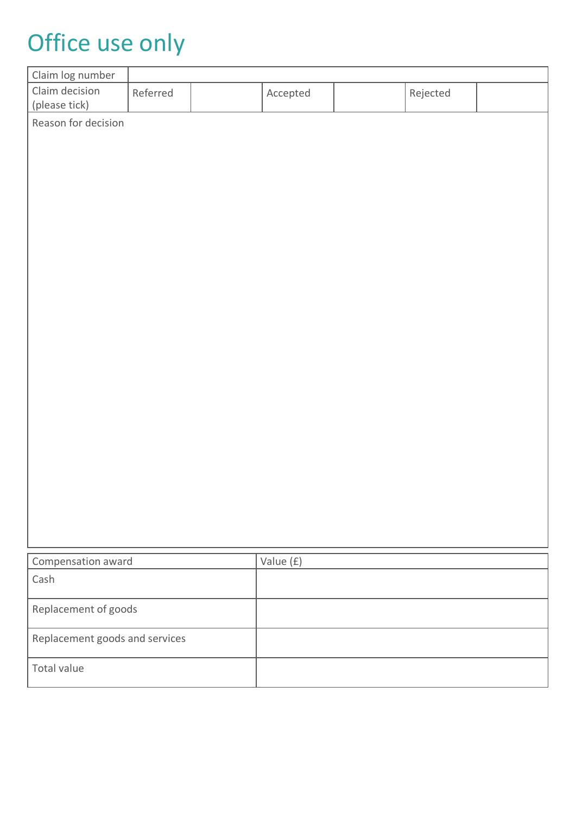## Office use only

| Claim log number                |          |           |          |  |
|---------------------------------|----------|-----------|----------|--|
| Claim decision<br>(please tick) | Referred | Accepted  | Rejected |  |
| Reason for decision             |          |           |          |  |
|                                 |          |           |          |  |
|                                 |          |           |          |  |
|                                 |          |           |          |  |
|                                 |          |           |          |  |
|                                 |          |           |          |  |
|                                 |          |           |          |  |
|                                 |          |           |          |  |
|                                 |          |           |          |  |
|                                 |          |           |          |  |
|                                 |          |           |          |  |
|                                 |          |           |          |  |
|                                 |          |           |          |  |
|                                 |          |           |          |  |
|                                 |          |           |          |  |
|                                 |          |           |          |  |
|                                 |          |           |          |  |
| Compensation award              |          | Value (£) |          |  |
| Cash                            |          |           |          |  |
| Replacement of goods            |          |           |          |  |
| Replacement goods and services  |          |           |          |  |
| Total value                     |          |           |          |  |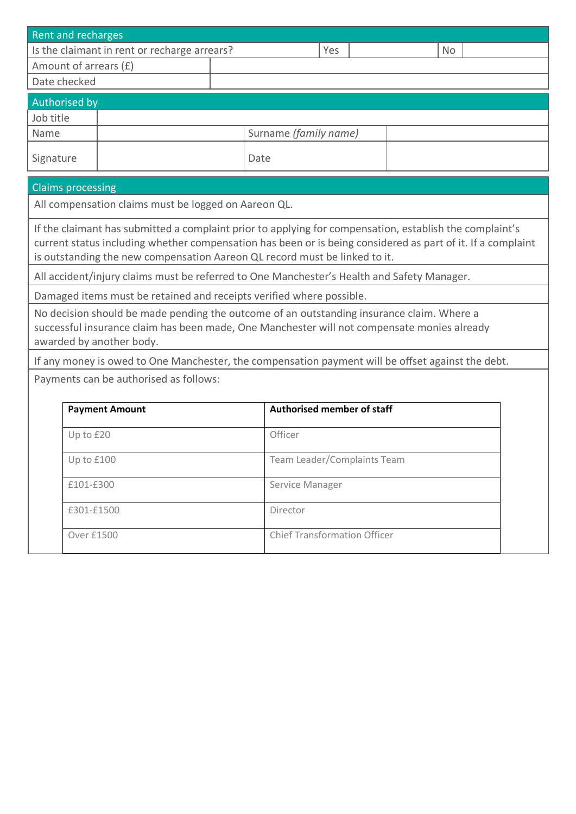| <b>Rent and recharges</b>                 |                                                                                                                                                                                                                                                                                                      |                       |                                     |  |           |  |  |  |  |
|-------------------------------------------|------------------------------------------------------------------------------------------------------------------------------------------------------------------------------------------------------------------------------------------------------------------------------------------------------|-----------------------|-------------------------------------|--|-----------|--|--|--|--|
|                                           | Is the claimant in rent or recharge arrears?                                                                                                                                                                                                                                                         |                       | Yes                                 |  | <b>No</b> |  |  |  |  |
|                                           | Amount of arrears (£)                                                                                                                                                                                                                                                                                |                       |                                     |  |           |  |  |  |  |
| Date checked                              |                                                                                                                                                                                                                                                                                                      |                       |                                     |  |           |  |  |  |  |
| Authorised by                             |                                                                                                                                                                                                                                                                                                      |                       |                                     |  |           |  |  |  |  |
| Job title                                 |                                                                                                                                                                                                                                                                                                      |                       |                                     |  |           |  |  |  |  |
| Name                                      |                                                                                                                                                                                                                                                                                                      | Surname (family name) |                                     |  |           |  |  |  |  |
| Signature                                 |                                                                                                                                                                                                                                                                                                      |                       | Date                                |  |           |  |  |  |  |
| <b>Claims processing</b>                  |                                                                                                                                                                                                                                                                                                      |                       |                                     |  |           |  |  |  |  |
|                                           | All compensation claims must be logged on Aareon QL.                                                                                                                                                                                                                                                 |                       |                                     |  |           |  |  |  |  |
|                                           | If the claimant has submitted a complaint prior to applying for compensation, establish the complaint's<br>current status including whether compensation has been or is being considered as part of it. If a complaint<br>is outstanding the new compensation Aareon QL record must be linked to it. |                       |                                     |  |           |  |  |  |  |
|                                           | All accident/injury claims must be referred to One Manchester's Health and Safety Manager.                                                                                                                                                                                                           |                       |                                     |  |           |  |  |  |  |
|                                           | Damaged items must be retained and receipts verified where possible.                                                                                                                                                                                                                                 |                       |                                     |  |           |  |  |  |  |
|                                           | No decision should be made pending the outcome of an outstanding insurance claim. Where a<br>successful insurance claim has been made, One Manchester will not compensate monies already<br>awarded by another body.                                                                                 |                       |                                     |  |           |  |  |  |  |
|                                           | If any money is owed to One Manchester, the compensation payment will be offset against the debt.                                                                                                                                                                                                    |                       |                                     |  |           |  |  |  |  |
|                                           | Payments can be authorised as follows:                                                                                                                                                                                                                                                               |                       |                                     |  |           |  |  |  |  |
|                                           | <b>Payment Amount</b>                                                                                                                                                                                                                                                                                |                       | <b>Authorised member of staff</b>   |  |           |  |  |  |  |
|                                           |                                                                                                                                                                                                                                                                                                      |                       |                                     |  |           |  |  |  |  |
|                                           | Officer<br>Up to £20                                                                                                                                                                                                                                                                                 |                       |                                     |  |           |  |  |  |  |
| Team Leader/Complaints Team<br>Up to £100 |                                                                                                                                                                                                                                                                                                      |                       |                                     |  |           |  |  |  |  |
|                                           | £101-£300                                                                                                                                                                                                                                                                                            |                       | Service Manager                     |  |           |  |  |  |  |
|                                           | £301-£1500                                                                                                                                                                                                                                                                                           |                       | Director                            |  |           |  |  |  |  |
|                                           | <b>Over £1500</b>                                                                                                                                                                                                                                                                                    |                       | <b>Chief Transformation Officer</b> |  |           |  |  |  |  |